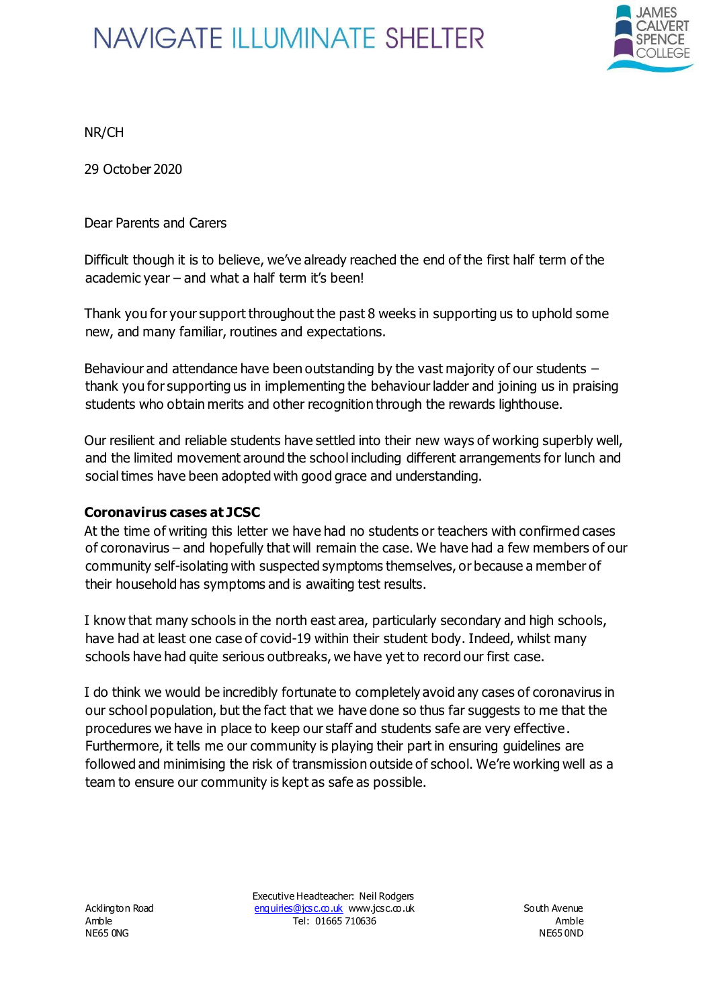

NR/CH

29 October 2020

Dear Parents and Carers

Difficult though it is to believe, we've already reached the end of the first half term of the academic year – and what a half term it's been!

Thank you for your support throughout the past 8 weeks in supporting us to uphold some new, and many familiar, routines and expectations.

Behaviour and attendance have been outstanding by the vast majority of our students – thank you for supporting us in implementing the behaviour ladder and joining us in praising students who obtain merits and other recognition through the rewards lighthouse.

Our resilient and reliable students have settled into their new ways of working superbly well, and the limited movement around the school including different arrangements for lunch and social times have been adopted with good grace and understanding.

#### **Coronavirus cases at JCSC**

At the time of writing this letter we have had no students or teachers with confirmed cases of coronavirus – and hopefully that will remain the case. We have had a few members of our community self-isolating with suspected symptoms themselves, or because a member of their household has symptoms and is awaiting test results.

I know that many schools in the north east area, particularly secondary and high schools, have had at least one case of covid-19 within their student body. Indeed, whilst many schools have had quite serious outbreaks, we have yet to record our first case.

I do think we would be incredibly fortunate to completely avoid any cases of coronavirus in our school population, but the fact that we have done so thus far suggests to me that the procedures we have in place to keep our staff and students safe are very effective. Furthermore, it tells me our community is playing their part in ensuring guidelines are followed and minimising the risk of transmission outside of school. We're working well as a team to ensure our community is kept as safe as possible.

NE65 0NG NE65 0ND NE65 0ND NE65 0ND

Executive Headteacher: Neil Rodgers Acklington Road enquiries@jcsc.co.uk www.jcsc.co.uk South Avenue Amble **Amble Tel: 01665 710636 Amble Amble Amble**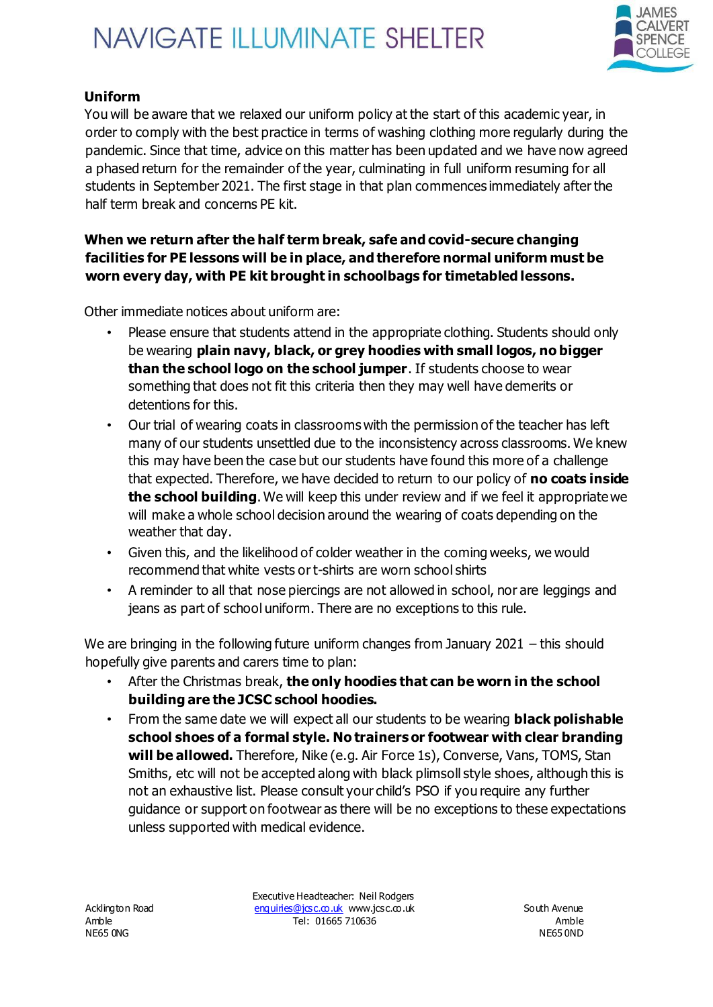

### **Uniform**

You will be aware that we relaxed our uniform policy at the start of this academic year, in order to comply with the best practice in terms of washing clothing more regularly during the pandemic. Since that time, advice on this matter has been updated and we have now agreed a phased return for the remainder of the year, culminating in full uniform resuming for all students in September 2021. The first stage in that plan commences immediately after the half term break and concerns PE kit.

#### **When we return after the half term break, safe and covid-secure changing facilities for PE lessons will be in place, and therefore normal uniform must be worn every day, with PE kit brought in schoolbags for timetabled lessons.**

Other immediate notices about uniform are:

- Please ensure that students attend in the appropriate clothing. Students should only be wearing **plain navy, black, or grey hoodies with small logos, no bigger than the school logo on the school jumper**. If students choose to wear something that does not fit this criteria then they may well have demerits or detentions for this.
- Our trial of wearing coats in classrooms with the permission of the teacher has left many of our students unsettled due to the inconsistency across classrooms. We knew this may have been the case but our students have found this more of a challenge that expected. Therefore, we have decided to return to our policy of **no coats inside the school building**. We will keep this under review and if we feel it appropriate we will make a whole school decision around the wearing of coats depending on the weather that day.
- Given this, and the likelihood of colder weather in the coming weeks, we would recommend that white vests or t-shirts are worn school shirts
- A reminder to all that nose piercings are not allowed in school, nor are leggings and jeans as part of school uniform. There are no exceptions to this rule.

We are bringing in the following future uniform changes from January 2021 – this should hopefully give parents and carers time to plan:

- After the Christmas break, **the only hoodies that can be worn in the school building are the JCSC school hoodies.**
- From the same date we will expect all our students to be wearing **black polishable school shoes of a formal style. No trainers or footwear with clear branding will be allowed.** Therefore, Nike (e.g. Air Force 1s), Converse, Vans, TOMS, Stan Smiths, etc will not be accepted along with black plimsoll style shoes, although this is not an exhaustive list. Please consult your child's PSO if you require any further guidance or support on footwear as there will be no exceptions to these expectations unless supported with medical evidence.

NE65 0NG NE65 0ND NE65 0ND NE65 0ND

Executive Headteacher: Neil Rodgers Acklington Road enquiries@jcsc.co.uk www.jcsc.co.uk South Avenue Amble **Amble Tel: 01665 710636 Amble Amble Amble**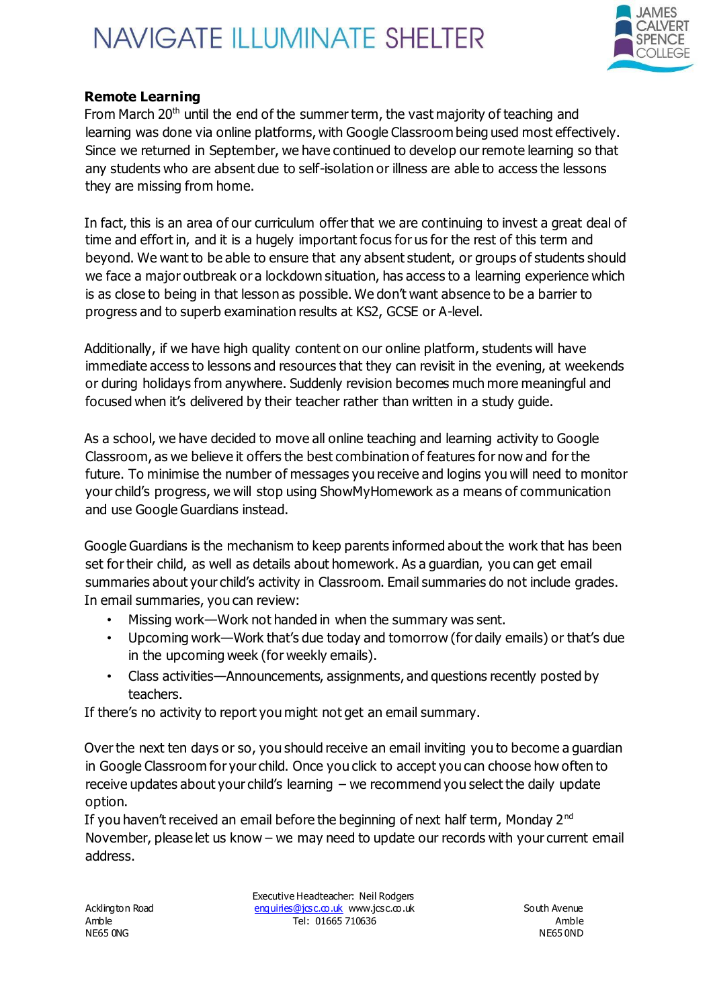

#### **Remote Learning**

From March  $20<sup>th</sup>$  until the end of the summer term, the vast majority of teaching and learning was done via online platforms, with Google Classroom being used most effectively. Since we returned in September, we have continued to develop our remote learning so that any students who are absent due to self-isolation or illness are able to access the lessons they are missing from home.

In fact, this is an area of our curriculum offer that we are continuing to invest a great deal of time and effort in, and it is a hugely important focus for us for the rest of this term and beyond. We want to be able to ensure that any absent student, or groups of students should we face a major outbreak or a lockdown situation, has access to a learning experience which is as close to being in that lesson as possible. We don't want absence to be a barrier to progress and to superb examination results at KS2, GCSE or A-level.

Additionally, if we have high quality content on our online platform, students will have immediate access to lessons and resources that they can revisit in the evening, at weekends or during holidays from anywhere. Suddenly revision becomes much more meaningful and focused when it's delivered by their teacher rather than written in a study guide.

As a school, we have decided to move all online teaching and learning activity to Google Classroom, as we believe it offers the best combination of features for now and for the future. To minimise the number of messages you receive and logins you will need to monitor your child's progress, we will stop using ShowMyHomework as a means of communication and use Google Guardians instead.

Google Guardians is the mechanism to keep parents informed about the work that has been set for their child, as well as details about homework. As a guardian, you can get email summaries about your child's activity in Classroom. Email summaries do not include grades. In email summaries, you can review:

- Missing work—Work not handed in when the summary was sent.
- Upcoming work—Work that's due today and tomorrow (for daily emails) or that's due in the upcoming week (for weekly emails).
- Class activities—Announcements, assignments, and questions recently posted by teachers.

If there's no activity to report you might not get an email summary.

Over the next ten days or so, you should receive an email inviting you to become a guardian in Google Classroom for your child. Once you click to accept you can choose how often to receive updates about your child's learning – we recommend you select the daily update option.

If you haven't received an email before the beginning of next half term, Monday 2<sup>nd</sup> November, please let us know – we may need to update our records with your current email address.

Executive Headteacher: Neil Rodgers Acklington Road enquiries@jcsc.co.uk www.jcsc.co.uk South Avenue Amble **Amble Tel: 01665 710636 Amble Amble Amble**